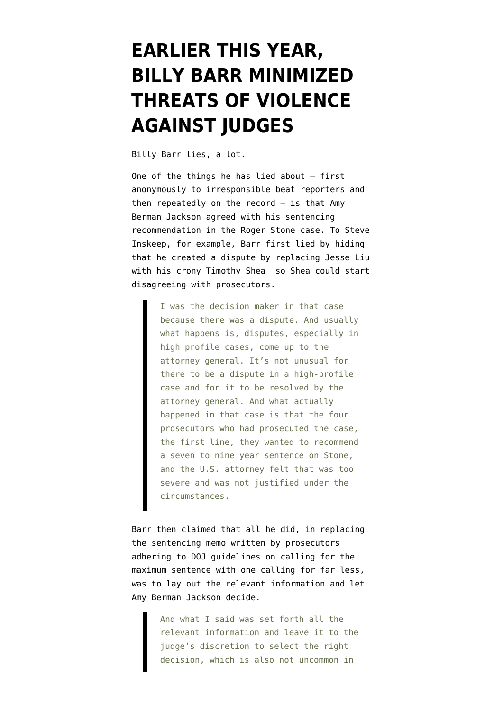## **[EARLIER THIS YEAR,](https://www.emptywheel.net/2020/07/20/earlier-this-year-billy-barr-minimized-threats-of-violence-against-judges/) [BILLY BARR MINIMIZED](https://www.emptywheel.net/2020/07/20/earlier-this-year-billy-barr-minimized-threats-of-violence-against-judges/) [THREATS OF VIOLENCE](https://www.emptywheel.net/2020/07/20/earlier-this-year-billy-barr-minimized-threats-of-violence-against-judges/) [AGAINST JUDGES](https://www.emptywheel.net/2020/07/20/earlier-this-year-billy-barr-minimized-threats-of-violence-against-judges/)**

Billy Barr lies, a lot.

One of the things he has lied about — first anonymously to [irresponsible beat reporters](https://www.washingtonpost.com/national-security/at-the-justice-dept-a-cautious-sigh-of-relief-as-roger-stones-sentence-hits-barrs-preferred-target/2020/02/20/00bf8e62-5428-11ea-b119-4faabac6674f_story.html) and then [repeatedly on the record](https://text.npr.org/s.php?sId=883273933) — is that Amy Berman Jackson agreed with his sentencing recommendation in the Roger Stone case. To Steve Inskeep, for example, Barr first lied by hiding that he created a dispute by replacing Jesse Liu with his crony Timothy Shea so Shea could start disagreeing with prosecutors.

> I was the decision maker in that case because there was a dispute. And usually what happens is, disputes, especially in high profile cases, come up to the attorney general. It's not unusual for there to be a dispute in a high-profile case and for it to be resolved by the attorney general. And what actually happened in that case is that the four prosecutors who had prosecuted the case, the first line, they wanted to recommend a seven to nine year sentence on Stone, and the U.S. attorney felt that was too severe and was not justified under the circumstances.

Barr then claimed that all he did, in replacing [the sentencing memo](https://www.courtlistener.com/recap/gov.uscourts.dcd.203583/gov.uscourts.dcd.203583.279.0_4.pdf) written by prosecutors adhering to DOJ guidelines on calling for the maximum sentence with [one calling for far less,](https://www.courtlistener.com/recap/gov.uscourts.dcd.203583/gov.uscourts.dcd.203583.286.0_9.pdf) was to lay out the relevant information and let Amy Berman Jackson decide.

> And what I said was set forth all the relevant information and leave it to the judge's discretion to select the right decision, which is also not uncommon in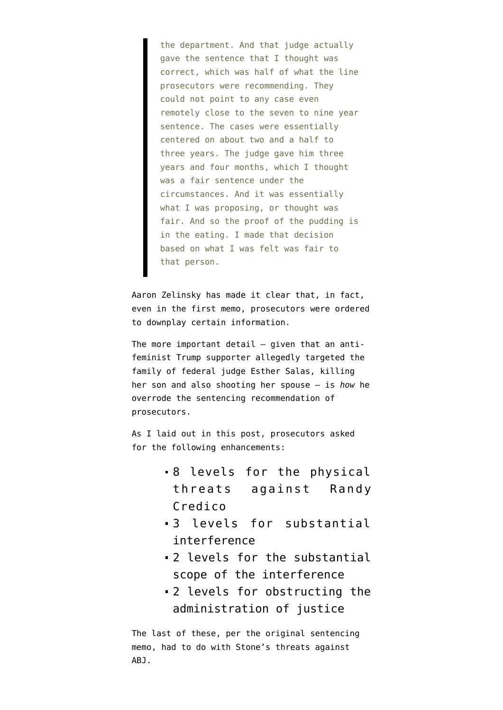the department. And that judge actually gave the sentence that I thought was correct, which was half of what the line prosecutors were recommending. They could not point to any case even remotely close to the seven to nine year sentence. The cases were essentially centered on about two and a half to three years. The judge gave him three years and four months, which I thought was a fair sentence under the circumstances. And it was essentially what I was proposing, or thought was fair. And so the proof of the pudding is in the eating. I made that decision based on what I was felt was fair to that person.

Aaron Zelinsky has made it clear that, in fact, even in the first memo, prosecutors were ordered to downplay certain information.

The more important detail — given that an [anti](http://www.roydenhollander.com/main/royresume.htm)[feminist](http://www.roydenhollander.com/main/royresume.htm) [Trump supporter](https://heavy.com/wp-content/uploads/2020/07/16cv6624-1-Complaint.pdf) [allegedly targeted](https://newjerseyglobe.com/fr/anti-feminist-lawyer-killed-federal-judges-son-source-say/) the family of federal judge Esther Salas, killing her son and also shooting her spouse — is *how* he overrode the sentencing recommendation of prosecutors.

As I laid out in [this post,](https://www.emptywheel.net/2020/02/21/the-frothy-right-is-complaining-that-amy-berman-jackson-sentenced-roger-stone-to-57-of-lower-guidelines/) prosecutors asked for the following enhancements:

- 8 levels for the physical threats against Randy Credico
- 3 levels for substantial interference
- 2 levels for the substantial scope of the interference
- 2 levels for obstructing the administration of justice

The last of these, per the original sentencing memo, had to do with Stone's threats against ABJ.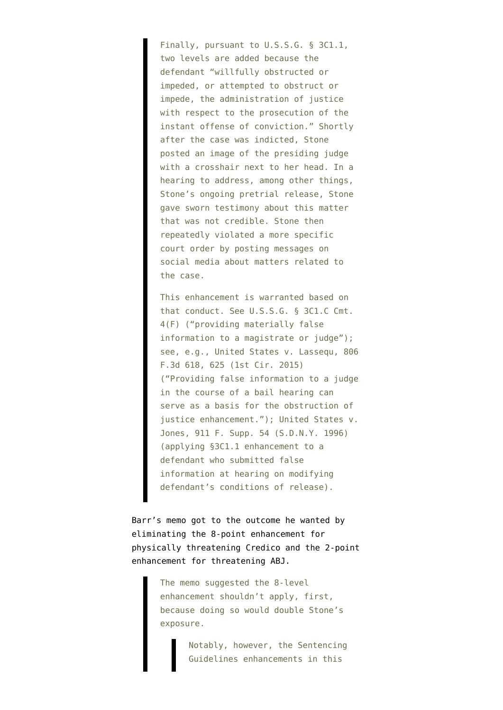Finally, pursuant to U.S.S.G. § 3C1.1, two levels are added because the defendant "willfully obstructed or impeded, or attempted to obstruct or impede, the administration of justice with respect to the prosecution of the instant offense of conviction." Shortly after the case was indicted, Stone posted an image of the presiding judge with a crosshair next to her head. In a hearing to address, among other things, Stone's ongoing pretrial release, Stone gave sworn testimony about this matter that was not credible. Stone then repeatedly violated a more specific court order by posting messages on social media about matters related to the case.

This enhancement is warranted based on that conduct. See U.S.S.G. § 3C1.C Cmt. 4(F) ("providing materially false information to a magistrate or judge"); see, e.g., United States v. Lassequ, 806 F.3d 618, 625 (1st Cir. 2015) ("Providing false information to a judge in the course of a bail hearing can serve as a basis for the obstruction of justice enhancement."); United States v. Jones, 911 F. Supp. 54 (S.D.N.Y. 1996) (applying §3C1.1 enhancement to a defendant who submitted false information at hearing on modifying defendant's conditions of release).

Barr's memo got to the outcome he wanted by eliminating the 8-point enhancement for physically threatening Credico and the 2-point enhancement for threatening ABJ.

> The memo suggested the 8-level enhancement shouldn't apply, first, because doing so would double Stone's exposure.

> > Notably, however, the Sentencing Guidelines enhancements in this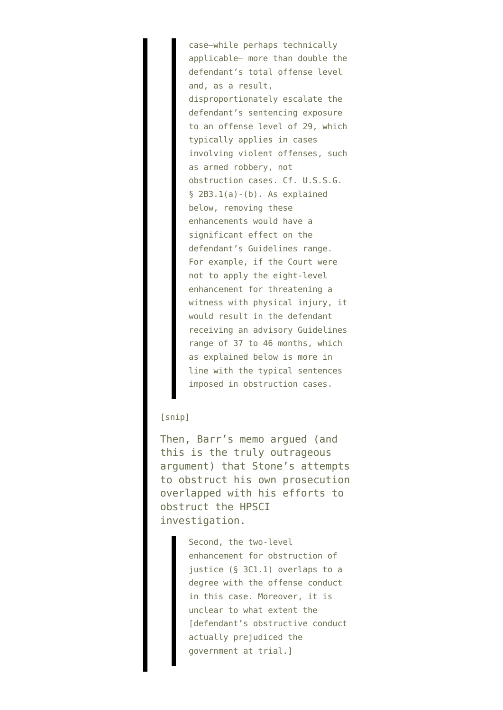case—while perhaps technically applicable— more than double the defendant's total offense level and, as a result, disproportionately escalate the defendant's sentencing exposure to an offense level of 29, which typically applies in cases involving violent offenses, such as armed robbery, not obstruction cases. Cf. U.S.S.G.  $§$  2B3.1(a)-(b). As explained below, removing these enhancements would have a significant effect on the defendant's Guidelines range. For example, if the Court were not to apply the eight-level enhancement for threatening a witness with physical injury, it would result in the defendant receiving an advisory Guidelines range of 37 to 46 months, which as explained below is more in line with the typical sentences imposed in obstruction cases.

## [snip]

Then, Barr's memo argued (and this is the truly outrageous argument) that Stone's attempts to obstruct his own prosecution overlapped with his efforts to obstruct the HPSCI investigation.

> Second, the two-level enhancement for obstruction of justice (§ 3C1.1) overlaps to a degree with the offense conduct in this case. Moreover, it is unclear to what extent the [defendant's obstructive conduct actually prejudiced the government at trial.]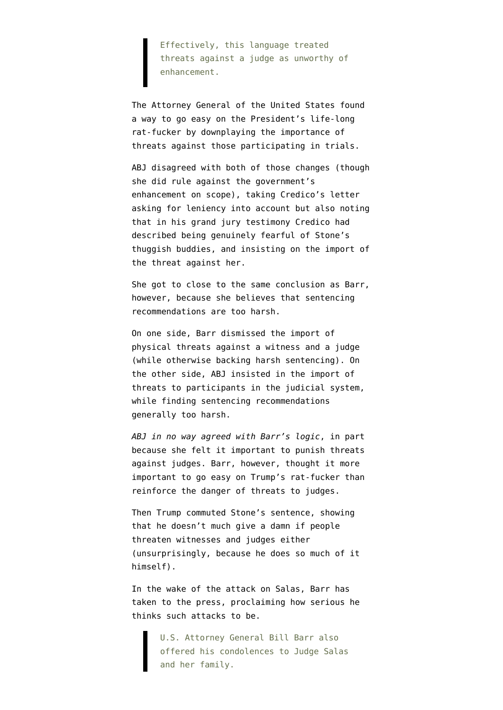Effectively, this language treated threats against a judge as unworthy of enhancement.

The Attorney General of the United States found a way to go easy on the President's life-long rat-fucker by downplaying the importance of threats against those participating in trials.

ABJ disagreed with both of those changes (though she did rule against the government's enhancement on scope), [taking Credico's letter](https://twitter.com/awprokop/status/1230514880958156801) [asking for leniency into account](https://twitter.com/awprokop/status/1230514880958156801) but also noting that in his grand jury testimony Credico had described being genuinely fearful of Stone's thuggish buddies, and [insisting](https://twitter.com/awprokop/status/1230521928471007232) on the import of the threat against her.

She got to close to the same conclusion as Barr, however, because she believes that sentencing recommendations are too harsh.

On one side, Barr dismissed the import of physical threats against a witness and a judge (while otherwise backing harsh sentencing). On the other side, ABJ insisted in the import of threats to participants in the judicial system, while finding sentencing recommendations generally too harsh.

*ABJ in no way agreed with Barr's logic*, in part because she felt it important to punish threats against judges. Barr, however, thought it more important to go easy on Trump's rat-fucker than reinforce the danger of threats to judges.

Then Trump commuted Stone's sentence, showing that he doesn't much give a damn if people threaten witnesses and judges either (unsurprisingly, because he does so much of it himself).

In the wake of the attack on Salas, Barr has [taken to the press,](https://abcnews.go.com/US/federal-judges-son-shot-killed-husband-injured-attack/story?id=71871708&cid=social_twitter_abcn) proclaiming how serious he thinks such attacks to be.

> U.S. Attorney General Bill Barr also offered his condolences to Judge Salas and her family.